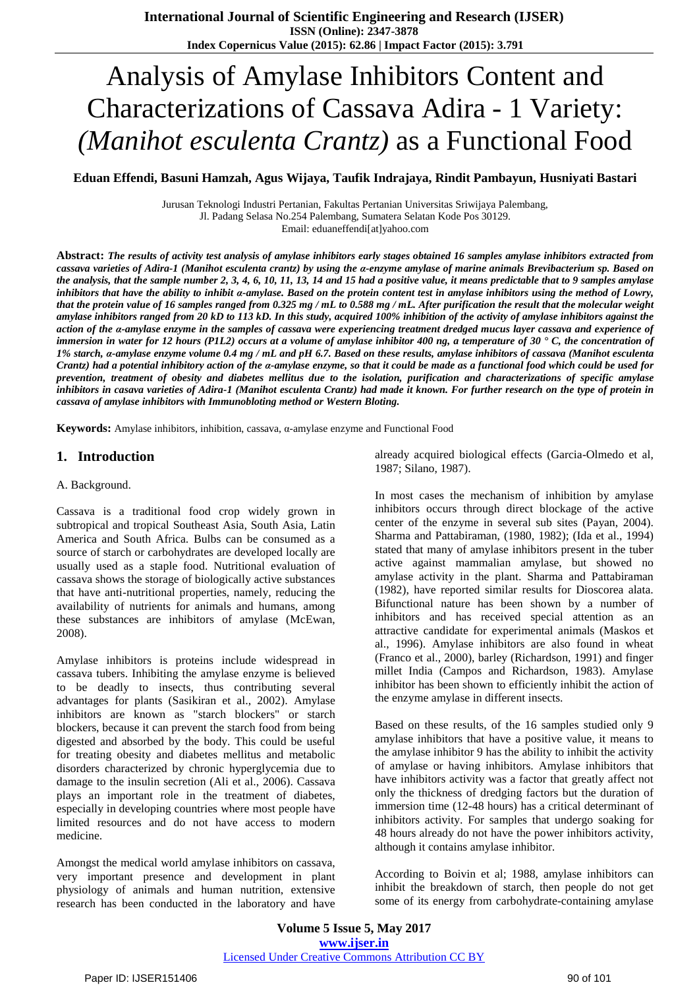# Analysis of Amylase Inhibitors Content and Characterizations of Cassava Adira - 1 Variety: *(Manihot esculenta Crantz)* as a Functional Food

**Eduan Effendi, Basuni Hamzah, Agus Wijaya, Taufik Indrajaya, Rindit Pambayun, Husniyati Bastari**

Jurusan Teknologi Industri Pertanian, Fakultas Pertanian Universitas Sriwijaya Palembang, Jl. Padang Selasa No.254 Palembang, Sumatera Selatan Kode Pos 30129. Email: eduaneffendi[at]yahoo.com

Abstract: The results of activity test analysis of amylase inhibitors early stages obtained 16 samples amylase inhibitors extracted from cassava varieties of Adira-1 (Manihot esculenta crantz) by using the a-enzyme amylase of marine animals Brevibacterium sp. Based on the analysis, that the sample number 2, 3, 4, 6, 10, 11, 13, 14 and 15 had a positive value, it means predictable that to 9 samples amylase inhibitors that have the ability to inhibit a-amylase. Based on the protein content test in amylase inhibitors using the method of Lowry, that the protein value of 16 samples ranged from 0.325 mg /  $mL$  to 0.588 mg /  $mL$ . After purification the result that the molecular weight amylase inhibitors ranged from 20 kD to 113 kD. In this study, acquired 100% inhibition of the activity of amylase inhibitors against the action of the a-amylase enzyme in the samples of cassava were experiencing treatment dredged mucus layer cassava and experience of immersion in water for 12 hours (PIL2) occurs at a volume of amylase inhibitor 400 ng, a temperature of 30  $\cdot$  C, the concentration of 1% starch, a-amylase enzyme volume 0.4 mg / mL and pH 6.7. Based on these results, amylase inhibitors of cassava (Manihot esculenta Crantz) had a potential inhibitory action of the a-amylase enzyme, so that it could be made as a functional food which could be used for prevention, treatment of obesity and diabetes mellitus due to the isolation, purification and characterizations of specific amylase inhibitors in casava varieties of Adira-1 (Manihot esculenta Crantz) had made it known. For further research on the type of protein in *cassava of amylase inhibitors with Immunobloting method or Western Bloting.*

**Keywords:** Amylase inhibitors, inhibition, cassava, α-amylase enzyme and Functional Food

### **1. Introduction**

#### A. Background.

Cassava is a traditional food crop widely grown in subtropical and tropical Southeast Asia, South Asia, Latin America and South Africa. Bulbs can be consumed as a source of starch or carbohydrates are developed locally are usually used as a staple food. Nutritional evaluation of cassava shows the storage of biologically active substances that have anti-nutritional properties, namely, reducing the availability of nutrients for animals and humans, among these substances are inhibitors of amylase (McEwan, 2008).

Amylase inhibitors is proteins include widespread in cassava tubers. Inhibiting the amylase enzyme is believed to be deadly to insects, thus contributing several advantages for plants (Sasikiran et al., 2002). Amylase inhibitors are known as "starch blockers" or starch blockers, because it can prevent the starch food from being digested and absorbed by the body. This could be useful for treating obesity and diabetes mellitus and metabolic disorders characterized by chronic hyperglycemia due to damage to the insulin secretion (Ali et al., 2006). Cassava plays an important role in the treatment of diabetes, especially in developing countries where most people have limited resources and do not have access to modern medicine.

Amongst the medical world amylase inhibitors on cassava, very important presence and development in plant physiology of animals and human nutrition, extensive research has been conducted in the laboratory and have already acquired biological effects (Garcia-Olmedo et al, 1987; Silano, 1987).

In most cases the mechanism of inhibition by amylase inhibitors occurs through direct blockage of the active center of the enzyme in several sub sites (Payan, 2004). Sharma and Pattabiraman, (1980, 1982); (Ida et al., 1994) stated that many of amylase inhibitors present in the tuber active against mammalian amylase, but showed no amylase activity in the plant. Sharma and Pattabiraman (1982), have reported similar results for Dioscorea alata. Bifunctional nature has been shown by a number of inhibitors and has received special attention as an attractive candidate for experimental animals (Maskos et al., 1996). Amylase inhibitors are also found in wheat (Franco et al., 2000), barley (Richardson, 1991) and finger millet India (Campos and Richardson, 1983). Amylase inhibitor has been shown to efficiently inhibit the action of the enzyme amylase in different insects.

Based on these results, of the 16 samples studied only 9 amylase inhibitors that have a positive value, it means to the amylase inhibitor 9 has the ability to inhibit the activity of amylase or having inhibitors. Amylase inhibitors that have inhibitors activity was a factor that greatly affect not only the thickness of dredging factors but the duration of immersion time (12-48 hours) has a critical determinant of inhibitors activity. For samples that undergo soaking for 48 hours already do not have the power inhibitors activity, although it contains amylase inhibitor.

According to Boivin et al; 1988, amylase inhibitors can inhibit the breakdown of starch, then people do not get some of its energy from carbohydrate-containing amylase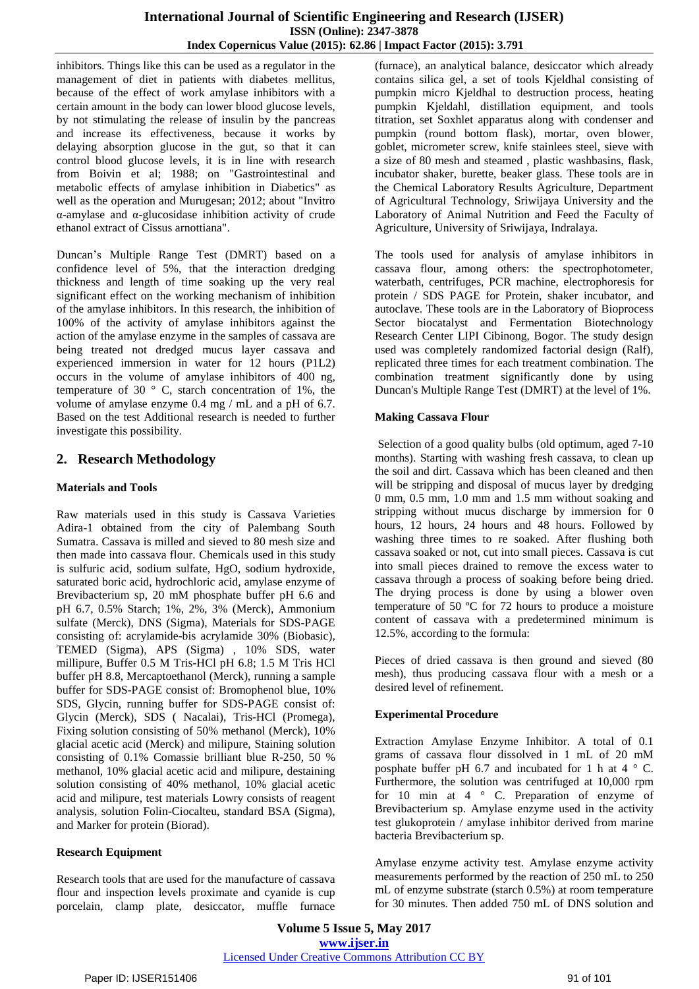inhibitors. Things like this can be used as a regulator in the management of diet in patients with diabetes mellitus, because of the effect of work amylase inhibitors with a certain amount in the body can lower blood glucose levels, by not stimulating the release of insulin by the pancreas and increase its effectiveness, because it works by delaying absorption glucose in the gut, so that it can control blood glucose levels, it is in line with research from Boivin et al; 1988; on "Gastrointestinal and metabolic effects of amylase inhibition in Diabetics" as well as the operation and Murugesan; 2012; about "Invitro α-amylase and α-glucosidase inhibition activity of crude ethanol extract of Cissus arnottiana".

Duncan"s Multiple Range Test (DMRT) based on a confidence level of 5%, that the interaction dredging thickness and length of time soaking up the very real significant effect on the working mechanism of inhibition of the amylase inhibitors. In this research, the inhibition of 100% of the activity of amylase inhibitors against the action of the amylase enzyme in the samples of cassava are being treated not dredged mucus layer cassava and experienced immersion in water for 12 hours (P1L2) occurs in the volume of amylase inhibitors of 400 ng, temperature of 30 ° C, starch concentration of 1%, the volume of amylase enzyme 0.4 mg / mL and a pH of 6.7. Based on the test Additional research is needed to further investigate this possibility.

# **2. Research Methodology**

## **Materials and Tools**

Raw materials used in this study is Cassava Varieties Adira-1 obtained from the city of Palembang South Sumatra. Cassava is milled and sieved to 80 mesh size and then made into cassava flour. Chemicals used in this study is sulfuric acid, sodium sulfate, HgO, sodium hydroxide, saturated boric acid, hydrochloric acid, amylase enzyme of Brevibacterium sp, 20 mM phosphate buffer pH 6.6 and pH 6.7, 0.5% Starch; 1%, 2%, 3% (Merck), Ammonium sulfate (Merck), DNS (Sigma), Materials for SDS-PAGE consisting of: acrylamide-bis acrylamide 30% (Biobasic), TEMED (Sigma), APS (Sigma) , 10% SDS, water millipure, Buffer 0.5 M Tris-HCl pH 6.8; 1.5 M Tris HCl buffer pH 8.8, Mercaptoethanol (Merck), running a sample buffer for SDS-PAGE consist of: Bromophenol blue, 10% SDS, Glycin, running buffer for SDS-PAGE consist of: Glycin (Merck), SDS ( Nacalai), Tris-HCl (Promega), Fixing solution consisting of 50% methanol (Merck), 10% glacial acetic acid (Merck) and milipure, Staining solution consisting of 0.1% Comassie brilliant blue R-250, 50 % methanol, 10% glacial acetic acid and milipure, destaining solution consisting of 40% methanol, 10% glacial acetic acid and milipure, test materials Lowry consists of reagent analysis, solution Folin-Ciocalteu, standard BSA (Sigma), and Marker for protein (Biorad).

## **Research Equipment**

Research tools that are used for the manufacture of cassava flour and inspection levels proximate and cyanide is cup porcelain, clamp plate, desiccator, muffle furnace

(furnace), an analytical balance, desiccator which already contains silica gel, a set of tools Kjeldhal consisting of pumpkin micro Kjeldhal to destruction process, heating pumpkin Kjeldahl, distillation equipment, and tools titration, set Soxhlet apparatus along with condenser and pumpkin (round bottom flask), mortar, oven blower, goblet, micrometer screw, knife stainlees steel, sieve with a size of 80 mesh and steamed , plastic washbasins, flask, incubator shaker, burette, beaker glass. These tools are in the Chemical Laboratory Results Agriculture, Department of Agricultural Technology, Sriwijaya University and the Laboratory of Animal Nutrition and Feed the Faculty of Agriculture, University of Sriwijaya, Indralaya.

The tools used for analysis of amylase inhibitors in cassava flour, among others: the spectrophotometer, waterbath, centrifuges, PCR machine, electrophoresis for protein / SDS PAGE for Protein, shaker incubator, and autoclave. These tools are in the Laboratory of Bioprocess Sector biocatalyst and Fermentation Biotechnology Research Center LIPI Cibinong, Bogor. The study design used was completely randomized factorial design (Ralf), replicated three times for each treatment combination. The combination treatment significantly done by using Duncan's Multiple Range Test (DMRT) at the level of 1%.

### **Making Cassava Flour**

Selection of a good quality bulbs (old optimum, aged 7-10 months). Starting with washing fresh cassava, to clean up the soil and dirt. Cassava which has been cleaned and then will be stripping and disposal of mucus layer by dredging 0 mm, 0.5 mm, 1.0 mm and 1.5 mm without soaking and stripping without mucus discharge by immersion for 0 hours, 12 hours, 24 hours and 48 hours. Followed by washing three times to re soaked. After flushing both cassava soaked or not, cut into small pieces. Cassava is cut into small pieces drained to remove the excess water to cassava through a process of soaking before being dried. The drying process is done by using a blower oven temperature of 50 ºC for 72 hours to produce a moisture content of cassava with a predetermined minimum is 12.5%, according to the formula:

Pieces of dried cassava is then ground and sieved (80 mesh), thus producing cassava flour with a mesh or a desired level of refinement.

#### **Experimental Procedure**

Extraction Amylase Enzyme Inhibitor. A total of 0.1 grams of cassava flour dissolved in 1 mL of 20 mM posphate buffer pH 6.7 and incubated for 1 h at 4  $\degree$  C. Furthermore, the solution was centrifuged at 10,000 rpm for 10 min at 4 ° C. Preparation of enzyme of Brevibacterium sp. Amylase enzyme used in the activity test glukoprotein / amylase inhibitor derived from marine bacteria Brevibacterium sp.

Amylase enzyme activity test. Amylase enzyme activity measurements performed by the reaction of 250 mL to 250 mL of enzyme substrate (starch 0.5%) at room temperature for 30 minutes. Then added 750 mL of DNS solution and

**Volume 5 Issue 5, May 2017 www.ijser.in** Licensed Under Creative Commons Attribution CC BY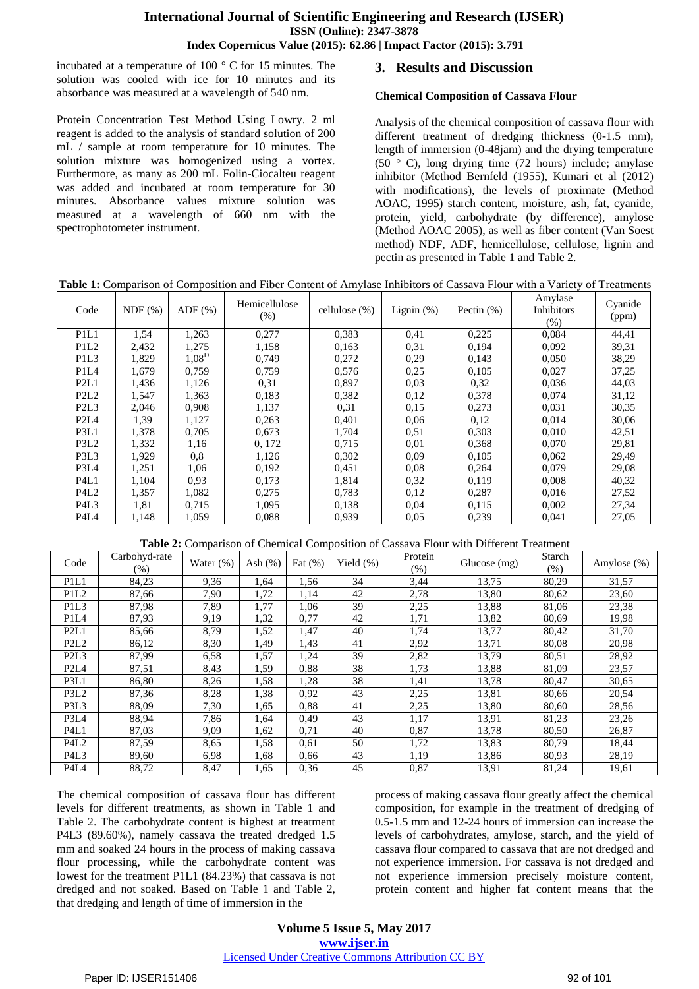incubated at a temperature of 100 ° C for 15 minutes. The solution was cooled with ice for 10 minutes and its absorbance was measured at a wavelength of 540 nm.

Protein Concentration Test Method Using Lowry. 2 ml reagent is added to the analysis of standard solution of 200 mL / sample at room temperature for 10 minutes. The solution mixture was homogenized using a vortex. Furthermore, as many as 200 mL Folin-Ciocalteu reagent was added and incubated at room temperature for 30 minutes. Absorbance values mixture solution was measured at a wavelength of 660 nm with the spectrophotometer instrument.

# **3. Results and Discussion**

### **Chemical Composition of Cassava Flour**

Analysis of the chemical composition of cassava flour with different treatment of dredging thickness (0-1.5 mm), length of immersion (0-48jam) and the drying temperature  $(50 \degree C)$ , long drying time (72 hours) include; amylase inhibitor (Method Bernfeld (1955), Kumari et al (2012) with modifications), the levels of proximate (Method AOAC, 1995) starch content, moisture, ash, fat, cyanide, protein, yield, carbohydrate (by difference), amylose (Method AOAC 2005), as well as fiber content (Van Soest method) NDF, ADF, hemicellulose, cellulose, lignin and pectin as presented in Table 1 and Table 2.

| Code                          | NDF(%) | $ADF$ $(\%)$ | Hemicellulose<br>(% ) | cellulose $(\%)$ | Lignin $(\%)$ | Pectin $(\%)$ | Amylase<br><b>Inhibitors</b><br>(%) | Cyanide<br>(ppm) |
|-------------------------------|--------|--------------|-----------------------|------------------|---------------|---------------|-------------------------------------|------------------|
| P1L1                          | 1,54   | 1,263        | 0,277                 | 0,383            | 0,41          | 0,225         | 0.084                               | 44,41            |
| P <sub>1</sub> L <sub>2</sub> | 2,432  | 1,275        | 1,158                 | 0,163            | 0.31          | 0,194         | 0.092                               | 39,31            |
| P <sub>1</sub> L <sub>3</sub> | 1,829  | $1,08^D$     | 0.749                 | 0,272            | 0,29          | 0,143         | 0,050                               | 38,29            |
| P <sub>1</sub> L <sub>4</sub> | 1,679  | 0,759        | 0,759                 | 0,576            | 0,25          | 0,105         | 0,027                               | 37,25            |
| P2L1                          | 1,436  | 1,126        | 0.31                  | 0.897            | 0,03          | 0,32          | 0.036                               | 44,03            |
| P <sub>2</sub> L <sub>2</sub> | 1,547  | 1,363        | 0,183                 | 0,382            | 0,12          | 0,378         | 0,074                               | 31,12            |
| P <sub>2</sub> L <sub>3</sub> | 2,046  | 0,908        | 1,137                 | 0.31             | 0,15          | 0,273         | 0.031                               | 30,35            |
| P <sub>2</sub> L <sub>4</sub> | 1,39   | 1,127        | 0.263                 | 0,401            | 0,06          | 0,12          | 0,014                               | 30,06            |
| P3L1                          | 1,378  | 0.705        | 0.673                 | 1.704            | 0.51          | 0,303         | 0.010                               | 42,51            |
| P3L2                          | 1,332  | 1,16         | 0, 172                | 0.715            | 0,01          | 0,368         | 0.070                               | 29,81            |
| P3L3                          | 1,929  | 0,8          | 1,126                 | 0,302            | 0,09          | 0,105         | 0,062                               | 29,49            |
| P3L4                          | 1,251  | 1,06         | 0,192                 | 0,451            | 0,08          | 0,264         | 0,079                               | 29,08            |
| P4L1                          | 1,104  | 0.93         | 0.173                 | 1,814            | 0,32          | 0,119         | 0,008                               | 40,32            |
| P <sub>4</sub> L <sub>2</sub> | 1,357  | 1,082        | 0,275                 | 0,783            | 0,12          | 0,287         | 0,016                               | 27,52            |
| P <sub>4</sub> L <sub>3</sub> | 1,81   | 0.715        | 1,095                 | 0,138            | 0,04          | 0,115         | 0,002                               | 27,34            |
| P4L4                          | 1,148  | 1,059        | 0,088                 | 0,939            | 0,05          | 0,239         | 0,041                               | 27,05            |

## **Table 1:** Comparison of Composition and Fiber Content of Amylase Inhibitors of Cassava Flour with a Variety of Treatments

**Table 2:** Comparison of Chemical Composition of Cassava Flour with Different Treatment

| Code                          | Carbohyd-rate<br>(%) | Water $(\%)$ | Ash $(%)$ | Fat $(\%)$ | Yield $(\%)$ | Protein<br>$(\% )$ | Glucose (mg) | Starch<br>(% ) | Amylose $(\%)$ |
|-------------------------------|----------------------|--------------|-----------|------------|--------------|--------------------|--------------|----------------|----------------|
| P <sub>1</sub> L <sub>1</sub> | 84,23                | 9,36         | 1,64      | 1,56       | 34           | 3,44               | 13,75        | 80,29          | 31,57          |
| P <sub>1</sub> L <sub>2</sub> | 87,66                | 7.90         | 1,72      | 1,14       | 42           | 2,78               | 13,80        | 80,62          | 23,60          |
| P <sub>1</sub> L <sub>3</sub> | 87,98                | 7,89         | 1,77      | 1,06       | 39           | 2,25               | 13,88        | 81,06          | 23,38          |
| P <sub>1</sub> L <sub>4</sub> | 87,93                | 9,19         | 1,32      | 0,77       | 42           | 1,71               | 13,82        | 80,69          | 19,98          |
| P <sub>2L1</sub>              | 85,66                | 8.79         | 1,52      | 1,47       | 40           | 1,74               | 13,77        | 80,42          | 31,70          |
| P <sub>2</sub> L <sub>2</sub> | 86,12                | 8,30         | 1,49      | 1,43       | 41           | 2,92               | 13,71        | 80,08          | 20,98          |
| P <sub>2</sub> L <sub>3</sub> | 87,99                | 6,58         | 1,57      | 1,24       | 39           | 2,82               | 13,79        | 80,51          | 28,92          |
| P <sub>2</sub> L <sub>4</sub> | 87,51                | 8.43         | 1,59      | 0.88       | 38           | 1,73               | 13,88        | 81,09          | 23,57          |
| P3L1                          | 86,80                | 8,26         | 1,58      | 1,28       | 38           | 1,41               | 13,78        | 80,47          | 30,65          |
| P3L2                          | 87,36                | 8,28         | 1,38      | 0.92       | 43           | 2,25               | 13,81        | 80,66          | 20,54          |
| P3L3                          | 88,09                | 7.30         | 1,65      | 0.88       | 41           | 2,25               | 13,80        | 80,60          | 28,56          |
| P3L4                          | 88,94                | 7,86         | 1,64      | 0.49       | 43           | 1,17               | 13,91        | 81,23          | 23,26          |
| P4L1                          | 87,03                | 9,09         | 1,62      | 0.71       | 40           | 0,87               | 13,78        | 80,50          | 26,87          |
| P <sub>4</sub> L <sub>2</sub> | 87,59                | 8.65         | 1,58      | 0.61       | 50           | 1,72               | 13,83        | 80,79          | 18,44          |
| P <sub>4</sub> L <sub>3</sub> | 89,60                | 6.98         | 1,68      | 0.66       | 43           | 1,19               | 13,86        | 80,93          | 28,19          |
| P4L4                          | 88,72                | 8,47         | 1,65      | 0.36       | 45           | 0,87               | 13,91        | 81,24          | 19,61          |

The chemical composition of cassava flour has different levels for different treatments, as shown in Table 1 and Table 2. The carbohydrate content is highest at treatment P4L3 (89.60%), namely cassava the treated dredged 1.5 mm and soaked 24 hours in the process of making cassava flour processing, while the carbohydrate content was lowest for the treatment P1L1 (84.23%) that cassava is not dredged and not soaked. Based on Table 1 and Table 2, that dredging and length of time of immersion in the

process of making cassava flour greatly affect the chemical composition, for example in the treatment of dredging of 0.5-1.5 mm and 12-24 hours of immersion can increase the levels of carbohydrates, amylose, starch, and the yield of cassava flour compared to cassava that are not dredged and not experience immersion. For cassava is not dredged and not experience immersion precisely moisture content, protein content and higher fat content means that the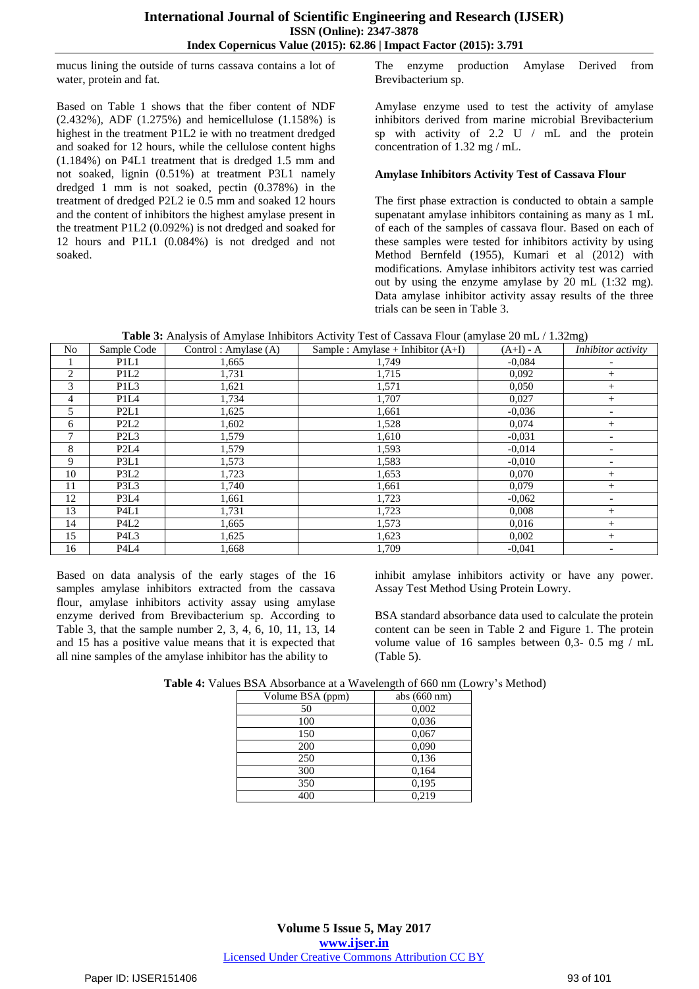mucus lining the outside of turns cassava contains a lot of water, protein and fat.

Based on Table 1 shows that the fiber content of NDF (2.432%), ADF (1.275%) and hemicellulose (1.158%) is highest in the treatment P1L2 ie with no treatment dredged and soaked for 12 hours, while the cellulose content highs (1.184%) on P4L1 treatment that is dredged 1.5 mm and not soaked, lignin (0.51%) at treatment P3L1 namely dredged 1 mm is not soaked, pectin (0.378%) in the treatment of dredged P2L2 ie 0.5 mm and soaked 12 hours and the content of inhibitors the highest amylase present in the treatment P1L2 (0.092%) is not dredged and soaked for 12 hours and P1L1 (0.084%) is not dredged and not soaked.

The enzyme production Amylase Derived from Brevibacterium sp.

Amylase enzyme used to test the activity of amylase inhibitors derived from marine microbial Brevibacterium sp with activity of 2.2 U / mL and the protein concentration of 1.32 mg / mL.

#### **Amylase Inhibitors Activity Test of Cassava Flour**

The first phase extraction is conducted to obtain a sample supenatant amylase inhibitors containing as many as 1 mL of each of the samples of cassava flour. Based on each of these samples were tested for inhibitors activity by using Method Bernfeld (1955), Kumari et al (2012) with modifications. Amylase inhibitors activity test was carried out by using the enzyme amylase by 20 mL (1:32 mg). Data amylase inhibitor activity assay results of the three trials can be seen in Table 3.

| Table 3: Analysis of Amylase Inhibitors Activity Test of Cassava Flour (amylase 20 mL / 1.32mg) |  |  |  |  |
|-------------------------------------------------------------------------------------------------|--|--|--|--|
|-------------------------------------------------------------------------------------------------|--|--|--|--|

| No             | Sample Code                   | Control: Amylase $(A)$ | Sample : Amylase + Inhibitor $(A+I)$ | $(A+I) - A$ | $\mathcal{L}$<br>Inhibitor activity |
|----------------|-------------------------------|------------------------|--------------------------------------|-------------|-------------------------------------|
|                | P <sub>1</sub> L <sub>1</sub> | 1,665                  | 1,749                                | $-0.084$    |                                     |
| 2              | P1L2                          | 1,731                  | 1,715                                | 0,092       | $^{+}$                              |
| 3              | P <sub>1</sub> L <sub>3</sub> | 1,621                  | 1,571                                | 0,050       | $^{+}$                              |
| $\overline{4}$ | P <sub>1</sub> L <sub>4</sub> | 1,734                  | 1,707                                | 0,027       | $^{+}$                              |
| 5              | P2L1                          | 1,625                  | 1,661                                | $-0.036$    |                                     |
| 6              | P <sub>2</sub> L <sub>2</sub> | 1,602                  | 1,528                                | 0,074       | $^{+}$                              |
| 7              | P <sub>2</sub> L <sub>3</sub> | 1,579                  | 1,610                                | $-0.031$    |                                     |
| 8              | P <sub>2</sub> L <sub>4</sub> | 1,579                  | 1,593                                | $-0.014$    |                                     |
| 9              | P3L1                          | 1,573                  | 1,583                                | $-0.010$    |                                     |
| 10             | P3L2                          | 1,723                  | 1,653                                | 0,070       | $^{+}$                              |
| 11             | P3L3                          | 1,740                  | 1,661                                | 0,079       | $^{+}$                              |
| 12             | P3L4                          | 1,661                  | 1,723                                | $-0,062$    | $\overline{\phantom{a}}$            |
| 13             | P <sub>4</sub> L <sub>1</sub> | 1,731                  | 1,723                                | 0,008       | $^{+}$                              |
| 14             | P4L2                          | 1,665                  | 1,573                                | 0,016       | $^{+}$                              |
| 15             | P <sub>4</sub> L <sub>3</sub> | 1,625                  | 1,623                                | 0,002       | $^{+}$                              |
| 16             | P4L4                          | 1,668                  | 1.709                                | $-0.041$    | -                                   |

Based on data analysis of the early stages of the 16 samples amylase inhibitors extracted from the cassava flour, amylase inhibitors activity assay using amylase enzyme derived from Brevibacterium sp. According to Table 3, that the sample number 2, 3, 4, 6, 10, 11, 13, 14 and 15 has a positive value means that it is expected that all nine samples of the amylase inhibitor has the ability to

inhibit amylase inhibitors activity or have any power. Assay Test Method Using Protein Lowry.

BSA standard absorbance data used to calculate the protein content can be seen in Table 2 and Figure 1. The protein volume value of 16 samples between 0,3- 0.5 mg / mL (Table 5).

| Volume BSA (ppm) | abs $(660 nm)$ |
|------------------|----------------|
| 50               | 0,002          |
| 100              | 0,036          |
| 150              | 0,067          |
| 200              | 0,090          |
| 250              | 0,136          |
| 300              | 0,164          |
| 350              | 0,195          |
| 400              | 0,219          |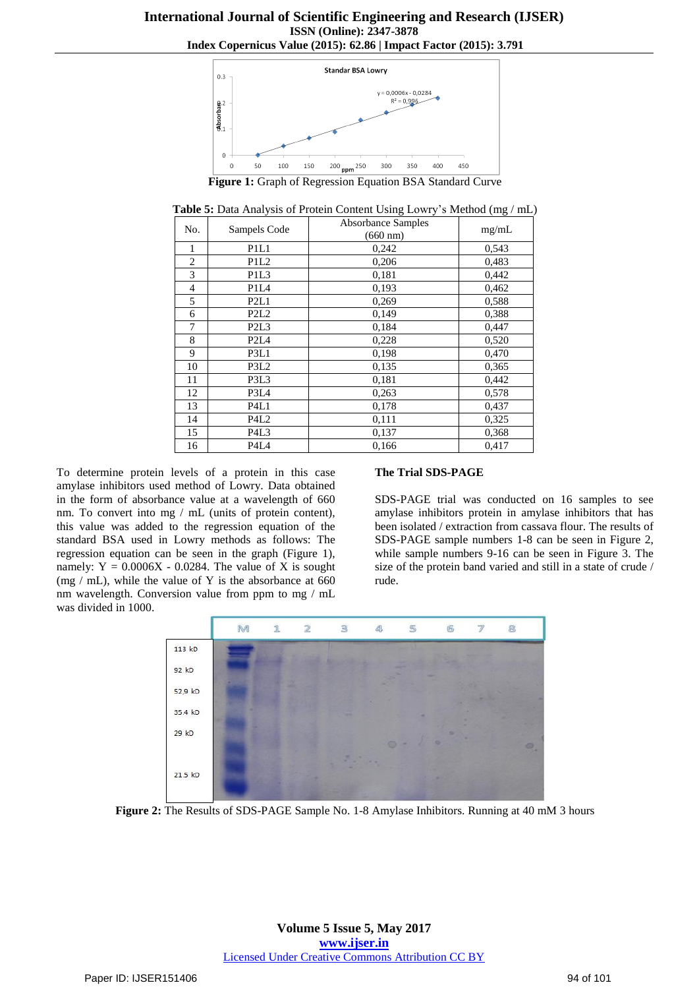

**Figure 1:** Graph of Regression Equation BSA Standard Curve

**Table 5:** Data Analysis of Protein Content Using Lowry"s Method (mg / mL)

| No.            | Sampels Code                  | Absorbance Samples<br>$(660 \text{ nm})$ | mg/mL |
|----------------|-------------------------------|------------------------------------------|-------|
| 1              | P1L1                          | 0,242                                    | 0,543 |
| $\overline{2}$ | P <sub>1</sub> L <sub>2</sub> | 0,206                                    | 0,483 |
| 3              | P <sub>1</sub> L <sub>3</sub> | 0,181                                    | 0,442 |
| 4              | P <sub>1</sub> L <sub>4</sub> | 0,193                                    | 0,462 |
| 5              | P2L1                          | 0,269                                    | 0,588 |
| 6              | P2L2                          | 0,149                                    | 0,388 |
| 7              | P <sub>2</sub> L <sub>3</sub> | 0,184                                    | 0,447 |
| 8              | P <sub>2</sub> L <sub>4</sub> | 0,228                                    | 0,520 |
| 9              | P3L1                          | 0,198                                    | 0,470 |
| 10             | P <sub>3</sub> L <sub>2</sub> | 0,135                                    | 0,365 |
| 11             | P3L3                          | 0,181                                    | 0,442 |
| 12             | P3L4                          | 0,263                                    | 0,578 |
| 13             | P <sub>4</sub> L <sub>1</sub> | 0,178                                    | 0,437 |
| 14             | P4L2                          | 0,111                                    | 0,325 |
| 15             | P <sub>4</sub> L <sub>3</sub> | 0,137                                    | 0,368 |
| 16             | P <sub>4</sub> L <sub>4</sub> | 0,166                                    | 0,417 |

To determine protein levels of a protein in this case amylase inhibitors used method of Lowry. Data obtained in the form of absorbance value at a wavelength of 660 nm. To convert into mg / mL (units of protein content), this value was added to the regression equation of the standard BSA used in Lowry methods as follows: The regression equation can be seen in the graph (Figure 1), namely:  $Y = 0.0006X - 0.0284$ . The value of X is sought (mg  $/$  mL), while the value of Y is the absorbance at 660 nm wavelength. Conversion value from ppm to mg / mL was divided in 1000.

#### **The Trial SDS-PAGE**

SDS-PAGE trial was conducted on 16 samples to see amylase inhibitors protein in amylase inhibitors that has been isolated / extraction from cassava flour. The results of SDS-PAGE sample numbers 1-8 can be seen in Figure 2, while sample numbers 9-16 can be seen in Figure 3. The size of the protein band varied and still in a state of crude / rude.



**Figure 2:** The Results of SDS-PAGE Sample No. 1-8 Amylase Inhibitors. Running at 40 mM 3 hours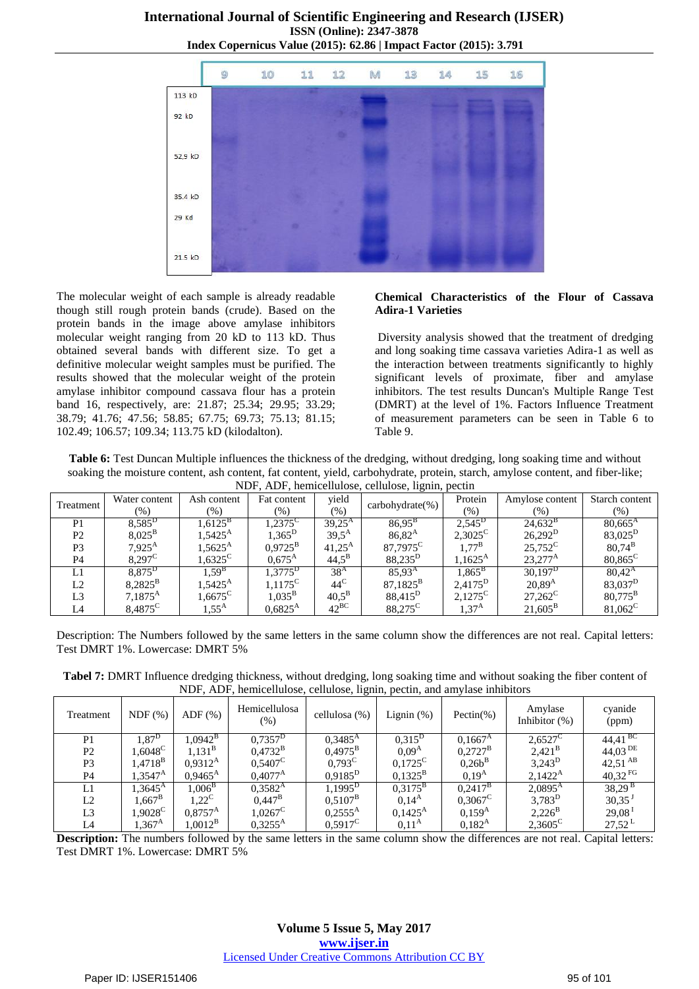# **International Journal of Scientific Engineering and Research (IJSER) ISSN (Online): 2347-3878**





The molecular weight of each sample is already readable though still rough protein bands (crude). Based on the protein bands in the image above amylase inhibitors molecular weight ranging from 20 kD to 113 kD. Thus obtained several bands with different size. To get a definitive molecular weight samples must be purified. The results showed that the molecular weight of the protein amylase inhibitor compound cassava flour has a protein band 16, respectively, are: 21.87; 25.34; 29.95; 33.29; 38.79; 41.76; 47.56; 58.85; 67.75; 69.73; 75.13; 81.15; 102.49; 106.57; 109.34; 113.75 kD (kilodalton).

#### **Chemical Characteristics of the Flour of Cassava Adira-1 Varieties**

Diversity analysis showed that the treatment of dredging and long soaking time cassava varieties Adira-1 as well as the interaction between treatments significantly to highly significant levels of proximate, fiber and amylase inhibitors. The test results Duncan's Multiple Range Test (DMRT) at the level of 1%. Factors Influence Treatment of measurement parameters can be seen in Table 6 to Table 9.

**Table 6:** Test Duncan Multiple influences the thickness of the dredging, without dredging, long soaking time and without soaking the moisture content, ash content, fat content, yield, carbohydrate, protein, starch, amylose content, and fiber-like; NDF, ADF, hemicellulose, cellulose, lignin, pectin

|                | 1.121, ADI, hemicenthose, centrose, fightin, peetin |                  |                   |                     |                      |                   |                  |                     |  |
|----------------|-----------------------------------------------------|------------------|-------------------|---------------------|----------------------|-------------------|------------------|---------------------|--|
| Treatment      | Water content                                       | Ash content      | Fat content       | vield               | $carbonvdrate(\%)$   | Protein           | Amylose content  | Starch content      |  |
|                | $(\%)$                                              | $\frac{9}{6}$    | $(\%)$            | (%)                 |                      | $(\% )$           | (% )             | $(\%)$              |  |
| P <sub>1</sub> | $8,585^D$                                           | $1.6125^{\rm B}$ | 1,2375 $^{\rm c}$ | $39,25^{\rm A}$     | $86,95^{B}$          | $2,545^{\rm D}$   | $24,632^{\rm B}$ | $80,665^{\rm A}$    |  |
| P <sub>2</sub> | $8,025^{\rm B}$                                     | $1.5425^{\rm A}$ | $1,365^D$         | $39.5^{A}$          | $86,82^{\rm A}$      | $2,3025^{\circ}$  | $26,292^{\rm D}$ | 83,025 <sup>D</sup> |  |
| P <sub>3</sub> | $7,925^{\rm A}$                                     | $1,5625^{\rm A}$ | $0.9725^{\rm B}$  | $41,25^{\rm A}$     | 87,7975 <sup>C</sup> | $1.77^{\rm B}$    | $25.752^{\circ}$ | $80.74^{B}$         |  |
| P <sub>4</sub> | $8,297^{\circ}$                                     | $1,6325^{\circ}$ | $0.675^{A}$       | $44.5^{\rm B}$      | 88,235 <sup>D</sup>  | $1.1625^{\rm A}$  | $23.277^{\rm A}$ | $80,865^{\circ}$    |  |
| L1             | 8,875 <sup>D</sup>                                  | $1.59^{B}$       | $1,3775^D$        | $38^{\rm A}$        | $85,93^{\rm A}$      | $1,865^{\rm B}$   | $30,197^{\rm D}$ | $80,42^{\rm A}$     |  |
| L2             | $8,2825^{\rm B}$                                    | $1.5425^{\rm A}$ | $1,1175^{\circ}$  | $44^{\circ}$        | $87,1825^{\rm B}$    | $2,4175^{\rm D}$  | $20,89^{\rm A}$  | 83,037 <sup>D</sup> |  |
| L <sub>3</sub> | $7,1875^{\rm A}$                                    | $1.6675^{\circ}$ | $1,035^{\rm B}$   | $40.5^{\mathrm{B}}$ | 88,415 <sup>D</sup>  | $2.1275^{\rm C}$  | $27,262^C$       | $80,775^{\rm B}$    |  |
| L <sub>4</sub> | 8,4875 <sup>C</sup>                                 | $1.55^{\rm A}$   | $0.6825^{\rm A}$  | $42^{BC}$           | 88,275 <sup>C</sup>  | 1.37 <sup>A</sup> | $21.605^{\rm B}$ | $81,062^{\circ}$    |  |

Description: The Numbers followed by the same letters in the same column show the differences are not real. Capital letters: Test DMRT 1%. Lowercase: DMRT 5%

**Tabel 7:** DMRT Influence dredging thickness, without dredging, long soaking time and without soaking the fiber content of NDF, ADF, hemicellulose, cellulose, lignin, pectin, and amylase inhibitors

| Treatment      | NDF(%)              | $ADF$ $(\%)$         | Hemicellulosa<br>(%)  | cellulosa (%)    | Lignin $(\%)$     | Pectin $(\% )$    | Amylase<br>Inhibitor $(\%)$ | cyanide<br>(ppm)      |
|----------------|---------------------|----------------------|-----------------------|------------------|-------------------|-------------------|-----------------------------|-----------------------|
| P1             | $\overline{1,87}^D$ | $1,0942^{\rm B}$     | $0,7357^D$            | $0.3485^{A}$     | $0,315^{\rm D}$   | $0.1667^{\rm A}$  | $2,6527^{\circ}$            | $44,41^{BC}$          |
| P <sub>2</sub> | $1.6048^{\rm C}$    | $1.131^{\mathrm{B}}$ | $0.4732^{\rm B}$      | $0.4975^{\rm B}$ | 0.09 <sup>A</sup> | $0.2727^{\rm B}$  | $2,421^{\rm B}$             | 44,03 DE              |
| P <sub>3</sub> | $1.4718^\mathrm{B}$ | $0.9312^{\rm A}$     | $0.5407^{\circ}$      | $0.793^{\circ}$  | $0,1725^C$        | $0,26b^B$         | $3,243^D$                   | $42,51^{AB}$          |
| <b>P4</b>      | $1.3547^{\rm A}$    | $0.9465^{\text{A}}$  | $0.4077^{\rm A}$      | $0.9185^D$       | $0,1325^{\rm B}$  | 0.19 <sup>A</sup> | $2,1422^{\rm A}$            | $40,32$ <sup>FG</sup> |
| L1             | $1,3645^{\rm A}$    | $1.006^{\rm B}$      | $0,3582^{\rm A}$      | $1,1995^{\rm D}$ | $0.3175^{\rm B}$  | $0,2417^{\rm B}$  | $2,0895^{\rm A}$            | $38,29^{\text{B}}$    |
| L2             | $.667^{\rm B}$      | $1.22^{\rm C}$       | $0.447^{\rm B}$       | $0,5107^{\rm B}$ | $0.14^{A}$        | $0,3067^{\circ}$  | $3,783^D$                   | $30,35$ <sup>J</sup>  |
| L <sub>3</sub> | $1.9028^{\rm C}$    | $0.8757^{\rm A}$     | $1.0267$ <sup>C</sup> | $0,2555^{\rm A}$ | $0.1425^{\rm A}$  | $0.159^{A}$       | $2,226^{\rm B}$             | $29,08$ <sup>1</sup>  |
| L4             | .367 <sup>A</sup>   | $1,0012^{\rm B}$     | $0,3255^{\rm A}$      | $0.5917^{\circ}$ | $0.11^{A}$        | $0.182^{A}$       | $2,3605^{\circ}$            | $27,52^{\mathrm{L}}$  |

**Description:** The numbers followed by the same letters in the same column show the differences are not real. Capital letters: Test DMRT 1%. Lowercase: DMRT 5%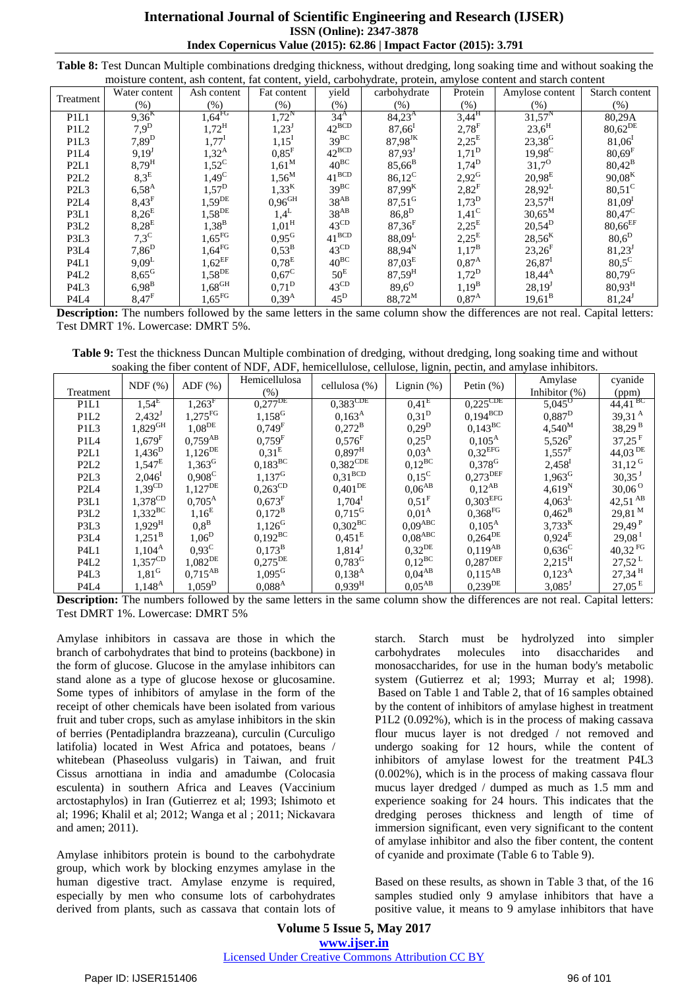| <b>International Journal of Scientific Engineering and Research (IJSER)</b> |  |  |  |  |  |  |
|-----------------------------------------------------------------------------|--|--|--|--|--|--|
| <b>ISSN</b> (Online): 2347-3878                                             |  |  |  |  |  |  |
| Index Copernicus Value (2015): 62.86   Impact Factor (2015): 3.791          |  |  |  |  |  |  |

| Table 8: Test Duncan Multiple combinations dredging thickness, without dredging, long soaking time and without soaking the |  |  |
|----------------------------------------------------------------------------------------------------------------------------|--|--|
| moisture content, ash content, fat content, yield, carbohydrate, protein, amylose content and starch content               |  |  |

| moisture comem, asn comem, fat comem, yield, carbonyurate, protein, amylose comem and starch content |                     |                      |                      |                   |                      |                     |                      |                      |
|------------------------------------------------------------------------------------------------------|---------------------|----------------------|----------------------|-------------------|----------------------|---------------------|----------------------|----------------------|
| Treatment                                                                                            | Water content       | Ash content          | Fat content          | yield             | carbohydrate         | Protein             | Amylose content      | Starch content       |
|                                                                                                      | $(\%)$              | (% )                 | $(\% )$              | $(\% )$           | (% )                 | (% )                | (% )                 | (% )                 |
| P <sub>1</sub> L <sub>1</sub>                                                                        | $9,36^{K}$          | $1,64$ <sup>FG</sup> | $1,72^N$             | 34 <sup>A</sup>   | $84,23^{A}$          | $3,44^{\rm H}$      | $31,57^N$            | 80,29A               |
| P <sub>1</sub> L <sub>2</sub>                                                                        | $7,9^D$             | $1,72^{\rm H}$       | $1,23^{\rm J}$       | $42^{BCD}$        | $87,66^{\rm I}$      | $2,78$ <sup>F</sup> | $23,6^{\rm H}$       | 80,62 <sup>DE</sup>  |
| P <sub>1</sub> L <sub>3</sub>                                                                        | $7,89^D$            | $1,77^{\rm I}$       | $1,15^{\rm I}$       | $39^{BC}$         | 87,98JK              | $2,25^E$            | 23,38 <sup>G</sup>   | $81,06^1$            |
| P <sub>1</sub> L <sub>4</sub>                                                                        | $9,19^{\mathrm{J}}$ | $1,32^{\rm A}$       | $0.85$ <sup>F</sup>  | $42^{BCD}$        | $87,93^{\mathrm{J}}$ | $1,71^D$            | $19,98^C$            | $80,69$ <sup>F</sup> |
| P2L1                                                                                                 | $8,79^{\rm H}$      | $1,52^C$             | $1,61^M$             | $40^{BC}$         | $85,66^{\rm B}$      | $1,74^{D}$          | $31.7^{O}$           | $80,42^{\rm B}$      |
| P <sub>2</sub> L <sub>2</sub>                                                                        | $8,3^E$             | $1,49^C$             | $1,56^M$             | $41^{\text{BCD}}$ | $86,12^C$            | $2,92^{\text{G}}$   | $20.98^{E}$          | $90,08^{K}$          |
| P <sub>2</sub> L <sub>3</sub>                                                                        | $6,58^{A}$          | $1,57^D$             | $1,33^{K}$           | $39^{BC}$         | $87,99^{\rm K}$      | $2,82$ <sup>F</sup> | $28,92^L$            | $80,51^\circ$        |
| P <sub>2</sub> L <sub>4</sub>                                                                        | $8,43$ <sup>F</sup> | $1,59$ <sup>DE</sup> | $0,96$ <sup>GH</sup> | $38^{AB}$         | $87,51$ <sup>G</sup> | $1,73^D$            | $23,57^{\rm H}$      | 81,09 <sup>I</sup>   |
| P3L1                                                                                                 | $8,26^E$            | $1,58$ <sup>DE</sup> | $1.4^L$              | $38^{AB}$         | $86,8^D$             | $1,41^\text{C}$     | $30,65^M$            | $80,47^{\circ}$      |
| P3L2                                                                                                 | $8,28^E$            | $1,38^{B}$           | $1,01^{\rm H}$       | $43^{\text{CD}}$  | $87,36$ <sup>F</sup> | $2,25^{E}$          | $20,54^D$            | 80,66EF              |
| P3L3                                                                                                 | $7,3^C$             | $1,65$ <sub>FG</sub> | 0.95 <sup>G</sup>    | $41^{BCD}$        | $88,09^L$            | $2,25^E$            | $28,56^{K}$          | $80,6^D$             |
| P3L4                                                                                                 | $7,86^{D}$          | $1,64$ <sub>FG</sub> | $0.53^{\rm B}$       | $43^{\text{CD}}$  | $88,94^{N}$          | $1,17^{\rm B}$      | $23,26$ <sup>F</sup> | 81,23                |
| P <sub>4</sub> L <sub>1</sub>                                                                        | $9,09^L$            | $1,62$ <sup>EF</sup> | 0.78 <sup>E</sup>    | $40^{BC}$         | $87,03^{\rm E}$      | 0.87 <sup>A</sup>   | $26,87$ <sup>1</sup> | $80,5^{\circ}$       |
| P <sub>4</sub> L <sub>2</sub>                                                                        | $8,65$ <sup>G</sup> | $1,58^{DE}$          | $0,67^{\circ}$       | $50^{\rm E}$      | $87,59^{\rm H}$      | $1,72^D$            | $18,44^{\rm A}$      | $80,79^{\rm G}$      |
| P <sub>4</sub> L <sub>3</sub>                                                                        | $6,98^{B}$          | $1,68$ <sup>GH</sup> | $0.71^{\mathrm{D}}$  | $43^{\text{CD}}$  | $89,6^{\circ}$       | $1,19^{B}$          | $28,19^{\mathrm{J}}$ | $80,93^{\rm H}$      |
| P <sub>4</sub> L <sub>4</sub>                                                                        | $8,47$ <sup>F</sup> | $1,65$ <sub>FG</sub> | $0,39^{A}$           | $45^{\rm D}$      | 88,72 <sup>M</sup>   | 0.87 <sup>A</sup>   | $19,61^B$            | $81,24^{\rm J}$      |

**Description:** The numbers followed by the same letters in the same column show the differences are not real. Capital letters: Test DMRT 1%. Lowercase: DMRT 5%.

**Table 9:** Test the thickness Duncan Multiple combination of dredging, without dredging, long soaking time and without soaking the fiber content of NDF, ADF, hemicellulose, cellulose, lignin, pectin, and amylase inhibitors.

| Treatment                     | NDF(%)               | $ADF$ $(\%)$          | Hemicellulosa<br>$(\%)$ | cellulosa (%)         | Lignin $(\%)$        | Petin $(\%)$           | Amylase<br>Inhibitor (%) | cyanide<br>(ppm)             |
|-------------------------------|----------------------|-----------------------|-------------------------|-----------------------|----------------------|------------------------|--------------------------|------------------------------|
| P <sub>1</sub> L <sub>1</sub> | $1,54^E$             | $1,263$ <sup>F</sup>  | $0,277^{{\rm DE}}$      | $0,383^{\text{CDE}}$  | 0.41 <sup>E</sup>    | $0,225$ <sup>CDE</sup> | $5,045^{\circ}$          | $44,41^{BC}$                 |
| P1L2                          | $2,432$ <sup>J</sup> | $1,275$ <sup>FG</sup> | $1,158^G$               | $0,163^{\rm A}$       | 0,31 <sup>D</sup>    | $0,194^{BCD}$          | $0,887^D$                | 39,31 $^{\rm A}$             |
| P <sub>1</sub> L <sub>3</sub> | $1,829^{\rm GH}$     | $1,08$ <sup>DE</sup>  | $0,749^{\rm F}$         | $0,272^{\rm B}$       | $0,29^{D}$           | $0,143^{\rm BC}$       | $4,540^{M}$              | $38,29^{\,\rm B}$            |
| P <sub>1</sub> L <sub>4</sub> | $1,679$ <sup>F</sup> | $0,759^{AB}$          | $0,759$ <sup>F</sup>    | $0,576$ <sup>F</sup>  | $0,25^{D}$           | $0,105^{\rm A}$        | $5,526^P$                | $37,25$ <sup>F</sup>         |
| P <sub>2L1</sub>              | $1,436^D$            | $1,126^{DE}$          | 0.31 <sup>E</sup>       | $0,897$ <sup>H</sup>  | 0.03 <sup>A</sup>    | $0,32^{EFG}$           | $1,557^F$                | $44,03$ <sup>DE</sup>        |
| P <sub>2</sub> L <sub>2</sub> | $1,547^{\rm E}$      | $1,363$ <sup>G</sup>  | $0,183^{\rm BC}$        | $0,382^{\rm CDE}$     | $0,12^{BC}$          | $0,378^G$              | $2,458$ <sup>1</sup>     | $31,12$ <sup>G</sup>         |
| P <sub>2</sub> L <sub>3</sub> | $2,046$ <sup>1</sup> | $0,908^C$             | $1,137^G$               | $0,31^{\rm BCD}$      | $0,15^{\circ}$       | $0,273$ <sup>DEF</sup> | $1,963^{\rm G}$          | $30,35$ <sup>J</sup>         |
| P <sub>2</sub> L <sub>4</sub> | $1,39^{\text{CD}}$   | $1,127^{DE}$          | $0,263^{\rm CD}$        | $0,401$ <sup>DE</sup> | $0,06^{AB}$          | $0,12^{AB}$            | $4,619^N$                | $30,06^{\circ}$              |
| P3L1                          | $1,378^{\rm CD}$     | $0,705^{\rm A}$       | 0.673 <sup>F</sup>      | $1,704$ <sup>I</sup>  | $0.51$ <sup>F</sup>  | $0,303$ <sup>EFG</sup> | $4,063^L$                | $42,51 \text{ }^{\text{AB}}$ |
| P3L2                          | $1,332^{\rm BC}$     | $1,16^{E}$            | $0,172^{\rm B}$         | $0,715^{\rm G}$       | 0.01 <sup>A</sup>    | $0,368^{\mathrm{FG}}$  | $0,462^{\rm B}$          | 29,81 M                      |
| P3L3                          | $1,929$ <sup>H</sup> | $0.8^{\rm B}$         | $1,126$ <sup>G</sup>    | $0,302^{\rm BC}$      | $0,09^{\text{ABC}}$  | $0,105^{\rm A}$        | $3,733^{\rm K}$          | $29,49$ <sup>P</sup>         |
| P3L4                          | $1,251^{\rm B}$      | $1,06^D$              | $0,192^{\rm BC}$        | $0,451^{\rm E}$       | $0,\!08^\text{ABC}$  | $0,264^{DE}$           | $0,924^{\mathrm{E}}$     | 29,08 <sup>1</sup>           |
| P <sub>4L1</sub>              | $1,104^{\rm A}$      | $0.93^{\circ}$        | $0,173^{\rm B}$         | $1,814^{\mathrm{J}}$  | $0,32$ <sup>DE</sup> | $0,119^{AB}$           | $0,636^{\circ}$          | $40,32 \text{ }^{\text{FG}}$ |
| P <sub>4</sub> L <sub>2</sub> | $1,357^{\text{CD}}$  | $1,082^{DE}$          | $0,275^{DE}$            | $0,783^G$             | $0,12^{BC}$          | $0,287^{\text{DEF}}$   | $2,215^{\rm H}$          | $27,52^{\mathrm{L}}$         |
| P <sub>4</sub> L <sub>3</sub> | $1,81$ <sup>G</sup>  | $0,715^{AB}$          | $1,095^G$               | $0,138^{\rm A}$       | 0.04 <sup>AB</sup>   | $0,115^{AB}$           | $0,123^{\rm A}$          | $27,34$ <sup>H</sup>         |
| P <sub>4</sub> L <sub>4</sub> | $1,148^{A}$          | $1,059^{\rm D}$       | $0,088^{\rm A}$         | $0,939^{\mathrm{H}}$  | $0.05^{AB}$          | $0,239^{DE}$           | $3,085$ <sup>J</sup>     | $27,05^{\mathrm{E}}$         |

**Description:** The numbers followed by the same letters in the same column show the differences are not real. Capital letters: Test DMRT 1%. Lowercase: DMRT 5%

Amylase inhibitors in cassava are those in which the branch of carbohydrates that bind to proteins (backbone) in the form of glucose. Glucose in the amylase inhibitors can stand alone as a type of glucose hexose or glucosamine. Some types of inhibitors of amylase in the form of the receipt of other chemicals have been isolated from various fruit and tuber crops, such as amylase inhibitors in the skin of berries (Pentadiplandra brazzeana), curculin (Curculigo latifolia) located in West Africa and potatoes, beans / whitebean (Phaseoluss vulgaris) in Taiwan, and fruit Cissus arnottiana in india and amadumbe (Colocasia esculenta) in southern Africa and Leaves (Vaccinium arctostaphylos) in Iran (Gutierrez et al; 1993; Ishimoto et al; 1996; Khalil et al; 2012; Wanga et al ; 2011; Nickavara and amen; 2011).

Amylase inhibitors protein is bound to the carbohydrate group, which work by blocking enzymes amylase in the human digestive tract. Amylase enzyme is required, especially by men who consume lots of carbohydrates derived from plants, such as cassava that contain lots of

starch. Starch must be hydrolyzed into simpler carbohydrates molecules into disaccharides and monosaccharides, for use in the human body's metabolic system (Gutierrez et al; 1993; Murray et al; 1998). Based on Table 1 and Table 2, that of 16 samples obtained by the content of inhibitors of amylase highest in treatment P1L2 (0.092%), which is in the process of making cassava flour mucus layer is not dredged / not removed and undergo soaking for 12 hours, while the content of inhibitors of amylase lowest for the treatment P4L3 (0.002%), which is in the process of making cassava flour mucus layer dredged / dumped as much as 1.5 mm and experience soaking for 24 hours. This indicates that the dredging peroses thickness and length of time of immersion significant, even very significant to the content of amylase inhibitor and also the fiber content, the content of cyanide and proximate (Table 6 to Table 9).

Based on these results, as shown in Table 3 that, of the 16 samples studied only 9 amylase inhibitors that have a positive value, it means to 9 amylase inhibitors that have

**Volume 5 Issue 5, May 2017 www.ijser.in** Licensed Under Creative Commons Attribution CC BY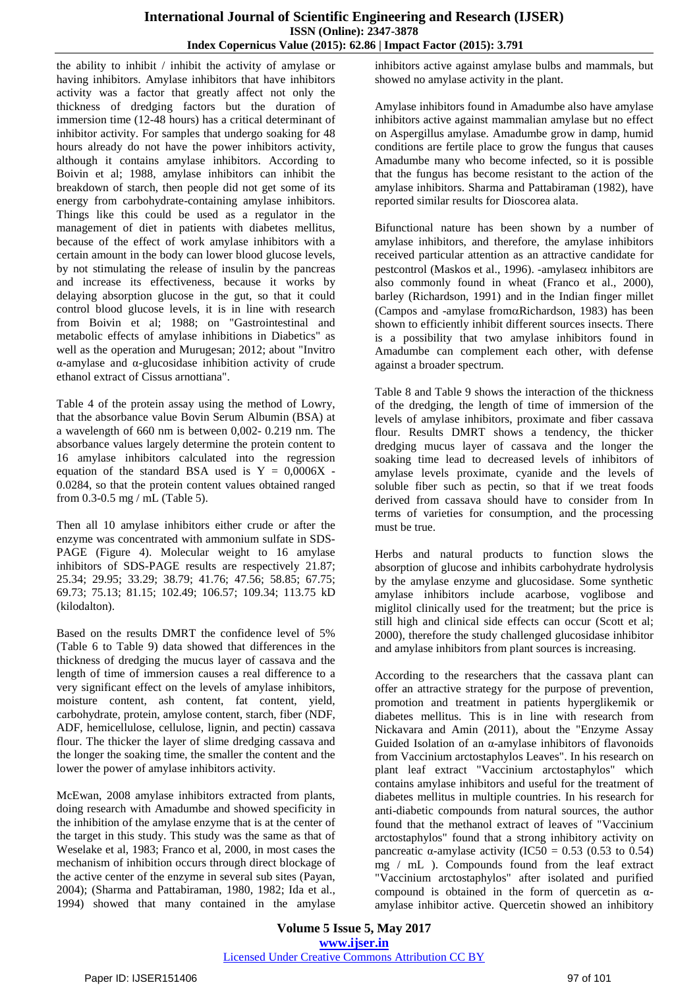the ability to inhibit / inhibit the activity of amylase or having inhibitors. Amylase inhibitors that have inhibitors activity was a factor that greatly affect not only the thickness of dredging factors but the duration of immersion time (12-48 hours) has a critical determinant of inhibitor activity. For samples that undergo soaking for 48 hours already do not have the power inhibitors activity, although it contains amylase inhibitors. According to Boivin et al; 1988, amylase inhibitors can inhibit the breakdown of starch, then people did not get some of its energy from carbohydrate-containing amylase inhibitors. Things like this could be used as a regulator in the management of diet in patients with diabetes mellitus, because of the effect of work amylase inhibitors with a certain amount in the body can lower blood glucose levels, by not stimulating the release of insulin by the pancreas and increase its effectiveness, because it works by delaying absorption glucose in the gut, so that it could control blood glucose levels, it is in line with research from Boivin et al; 1988; on "Gastrointestinal and metabolic effects of amylase inhibitions in Diabetics" as well as the operation and Murugesan; 2012; about "Invitro α-amylase and α-glucosidase inhibition activity of crude ethanol extract of Cissus arnottiana".

Table 4 of the protein assay using the method of Lowry, that the absorbance value Bovin Serum Albumin (BSA) at a wavelength of 660 nm is between 0,002- 0.219 nm. The absorbance values largely determine the protein content to 16 amylase inhibitors calculated into the regression equation of the standard BSA used is  $Y = 0.0006X$ . 0.0284, so that the protein content values obtained ranged from 0.3-0.5 mg / mL (Table 5).

Then all 10 amylase inhibitors either crude or after the enzyme was concentrated with ammonium sulfate in SDS-PAGE (Figure 4). Molecular weight to 16 amylase inhibitors of SDS-PAGE results are respectively 21.87; 25.34; 29.95; 33.29; 38.79; 41.76; 47.56; 58.85; 67.75; 69.73; 75.13; 81.15; 102.49; 106.57; 109.34; 113.75 kD (kilodalton).

Based on the results DMRT the confidence level of 5% (Table 6 to Table 9) data showed that differences in the thickness of dredging the mucus layer of cassava and the length of time of immersion causes a real difference to a very significant effect on the levels of amylase inhibitors, moisture content, ash content, fat content, yield, carbohydrate, protein, amylose content, starch, fiber (NDF, ADF, hemicellulose, cellulose, lignin, and pectin) cassava flour. The thicker the layer of slime dredging cassava and the longer the soaking time, the smaller the content and the lower the power of amylase inhibitors activity.

McEwan, 2008 amylase inhibitors extracted from plants, doing research with Amadumbe and showed specificity in the inhibition of the amylase enzyme that is at the center of the target in this study. This study was the same as that of Weselake et al, 1983; Franco et al, 2000, in most cases the mechanism of inhibition occurs through direct blockage of the active center of the enzyme in several sub sites (Payan, 2004); (Sharma and Pattabiraman, 1980, 1982; Ida et al., 1994) showed that many contained in the amylase

inhibitors active against amylase bulbs and mammals, but showed no amylase activity in the plant.

Amylase inhibitors found in Amadumbe also have amylase inhibitors active against mammalian amylase but no effect on Aspergillus amylase. Amadumbe grow in damp, humid conditions are fertile place to grow the fungus that causes Amadumbe many who become infected, so it is possible that the fungus has become resistant to the action of the amylase inhibitors. Sharma and Pattabiraman (1982), have reported similar results for Dioscorea alata.

Bifunctional nature has been shown by a number of amylase inhibitors, and therefore, the amylase inhibitors received particular attention as an attractive candidate for pestcontrol (Maskos et al., 1996). -amylase $\alpha$  inhibitors are also commonly found in wheat (Franco et al., 2000), barley (Richardson, 1991) and in the Indian finger millet (Campos and -amylase from $\alpha$ Richardson, 1983) has been shown to efficiently inhibit different sources insects. There is a possibility that two amylase inhibitors found in Amadumbe can complement each other, with defense against a broader spectrum.

Table 8 and Table 9 shows the interaction of the thickness of the dredging, the length of time of immersion of the levels of amylase inhibitors, proximate and fiber cassava flour. Results DMRT shows a tendency, the thicker dredging mucus layer of cassava and the longer the soaking time lead to decreased levels of inhibitors of amylase levels proximate, cyanide and the levels of soluble fiber such as pectin, so that if we treat foods derived from cassava should have to consider from In terms of varieties for consumption, and the processing must be true.

Herbs and natural products to function slows the absorption of glucose and inhibits carbohydrate hydrolysis by the amylase enzyme and glucosidase. Some synthetic amylase inhibitors include acarbose, voglibose and miglitol clinically used for the treatment; but the price is still high and clinical side effects can occur (Scott et al; 2000), therefore the study challenged glucosidase inhibitor and amylase inhibitors from plant sources is increasing.

According to the researchers that the cassava plant can offer an attractive strategy for the purpose of prevention, promotion and treatment in patients hyperglikemik or diabetes mellitus. This is in line with research from Nickavara and Amin (2011), about the "Enzyme Assay Guided Isolation of an α-amylase inhibitors of flavonoids from Vaccinium arctostaphylos Leaves". In his research on plant leaf extract "Vaccinium arctostaphylos" which contains amylase inhibitors and useful for the treatment of diabetes mellitus in multiple countries. In his research for anti-diabetic compounds from natural sources, the author found that the methanol extract of leaves of "Vaccinium arctostaphylos" found that a strong inhibitory activity on pancreatic  $\alpha$ -amylase activity (IC50 = 0.53 (0.53 to 0.54) mg / mL ). Compounds found from the leaf extract "Vaccinium arctostaphylos" after isolated and purified compound is obtained in the form of quercetin as αamylase inhibitor active. Quercetin showed an inhibitory

**Volume 5 Issue 5, May 2017 www.ijser.in** Licensed Under Creative Commons Attribution CC BY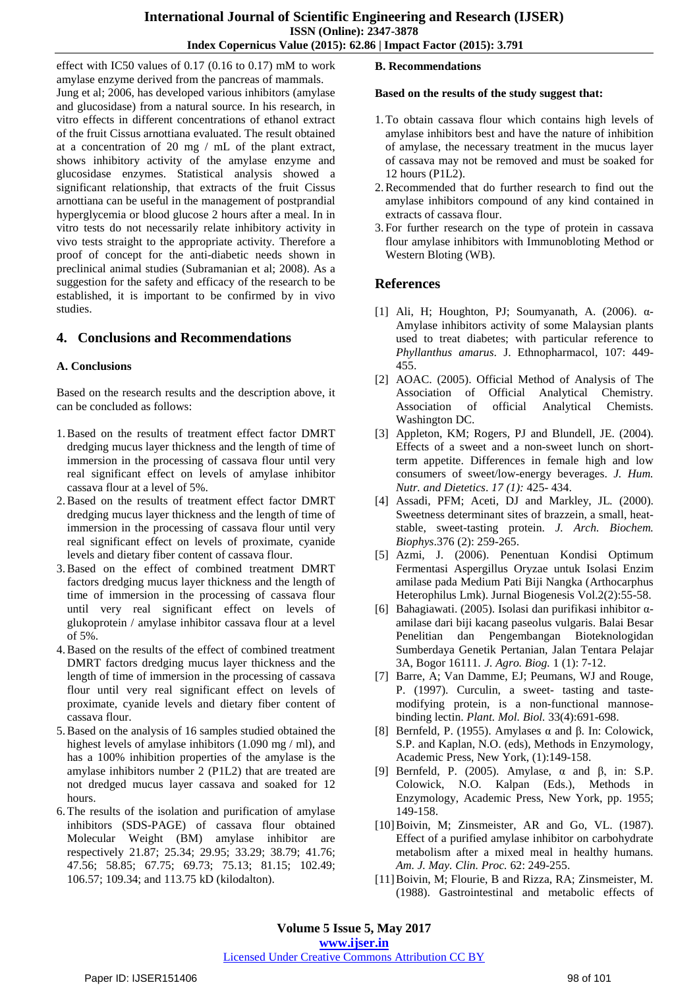effect with IC50 values of 0.17 (0.16 to 0.17) mM to work amylase enzyme derived from the pancreas of mammals. Jung et al; 2006, has developed various inhibitors (amylase and glucosidase) from a natural source. In his research, in vitro effects in different concentrations of ethanol extract of the fruit Cissus arnottiana evaluated. The result obtained at a concentration of 20 mg / mL of the plant extract, shows inhibitory activity of the amylase enzyme and glucosidase enzymes. Statistical analysis showed a significant relationship, that extracts of the fruit Cissus arnottiana can be useful in the management of postprandial hyperglycemia or blood glucose 2 hours after a meal. In in vitro tests do not necessarily relate inhibitory activity in vivo tests straight to the appropriate activity. Therefore a proof of concept for the anti-diabetic needs shown in preclinical animal studies (Subramanian et al; 2008). As a suggestion for the safety and efficacy of the research to be established, it is important to be confirmed by in vivo studies.

## **4. Conclusions and Recommendations**

### **A. Conclusions**

Based on the research results and the description above, it can be concluded as follows:

- 1.Based on the results of treatment effect factor DMRT dredging mucus layer thickness and the length of time of immersion in the processing of cassava flour until very real significant effect on levels of amylase inhibitor cassava flour at a level of 5%.
- 2.Based on the results of treatment effect factor DMRT dredging mucus layer thickness and the length of time of immersion in the processing of cassava flour until very real significant effect on levels of proximate, cyanide levels and dietary fiber content of cassava flour.
- 3.Based on the effect of combined treatment DMRT factors dredging mucus layer thickness and the length of time of immersion in the processing of cassava flour until very real significant effect on levels of glukoprotein / amylase inhibitor cassava flour at a level of 5%.
- 4.Based on the results of the effect of combined treatment DMRT factors dredging mucus layer thickness and the length of time of immersion in the processing of cassava flour until very real significant effect on levels of proximate, cyanide levels and dietary fiber content of cassava flour.
- 5.Based on the analysis of 16 samples studied obtained the highest levels of amylase inhibitors (1.090 mg / ml), and has a 100% inhibition properties of the amylase is the amylase inhibitors number 2 (P1L2) that are treated are not dredged mucus layer cassava and soaked for 12 hours.
- 6.The results of the isolation and purification of amylase inhibitors (SDS-PAGE) of cassava flour obtained Molecular Weight (BM) amylase inhibitor are respectively 21.87; 25.34; 29.95; 33.29; 38.79; 41.76; 47.56; 58.85; 67.75; 69.73; 75.13; 81.15; 102.49; 106.57; 109.34; and 113.75 kD (kilodalton).

## **B. Recommendations**

#### **Based on the results of the study suggest that:**

- 1.To obtain cassava flour which contains high levels of amylase inhibitors best and have the nature of inhibition of amylase, the necessary treatment in the mucus layer of cassava may not be removed and must be soaked for 12 hours (P1L2).
- 2.Recommended that do further research to find out the amylase inhibitors compound of any kind contained in extracts of cassava flour.
- 3. For further research on the type of protein in cassava flour amylase inhibitors with Immunobloting Method or Western Bloting (WB).

## **References**

- [1] Ali, H; Houghton, PJ; Soumyanath, A. (2006).  $\alpha$ -Amylase inhibitors activity of some Malaysian plants used to treat diabetes; with particular reference to *Phyllanthus amarus*. J. Ethnopharmacol, 107: 449- 455.
- [2] AOAC. (2005). Official Method of Analysis of The Association of Official Analytical Chemistry. Association of official Analytical Chemists. Washington DC.
- [3] Appleton, KM; Rogers, PJ and Blundell, JE. (2004). Effects of a sweet and a non-sweet lunch on shortterm appetite. Differences in female high and low consumers of sweet/low-energy beverages. *J. Hum. Nutr. and Dietetics*. *17 (1):* 425- 434.
- [4] Assadi, PFM; Aceti, DJ and Markley, JL*.* (2000). Sweetness determinant sites of brazzein, a small, heatstable, sweet-tasting protein. *J. Arch. Biochem. Biophys*.376 (2): 259-265.
- [5] Azmi, J. (2006). Penentuan Kondisi Optimum Fermentasi Aspergillus Oryzae untuk Isolasi Enzim amilase pada Medium Pati Biji Nangka (Arthocarphus Heterophilus Lmk). Jurnal Biogenesis Vol.2(2):55-58.
- [6] Bahagiawati. (2005). Isolasi dan purifikasi inhibitor αamilase dari biji kacang paseolus vulgaris. Balai Besar Penelitian dan Pengembangan Bioteknologidan Sumberdaya Genetik Pertanian, Jalan Tentara Pelajar 3A, Bogor 16111. *J. Agro. Biog.* 1 (1): 7-12.
- [7] Barre, A; Van Damme, EJ; Peumans, WJ and Rouge, P. (1997). Curculin, a sweet- tasting and tastemodifying protein, is a non-functional mannosebinding lectin. *Plant. Mol. Biol.* 33(4):691-698.
- [8] Bernfeld, P. (1955). Amylases α and β. In: Colowick, S.P. and Kaplan, N.O. (eds), Methods in Enzymology, Academic Press, New York, (1):149-158.
- [9] Bernfeld, P. (2005). Amylase, α and β, in: S.P. Colowick, N.O. Kalpan (Eds.), Methods in Enzymology, Academic Press, New York, pp. 1955; 149-158.
- [10]Boivin, M; Zinsmeister, AR and Go, VL. (1987). Effect of a purified amylase inhibitor on carbohydrate metabolism after a mixed meal in healthy humans*. Am. J. May. Clin. Proc.* 62: 249-255.
- [11]Boivin, M; Flourie, B and Rizza, RA; Zinsmeister, M*.* (1988). Gastrointestinal and metabolic effects of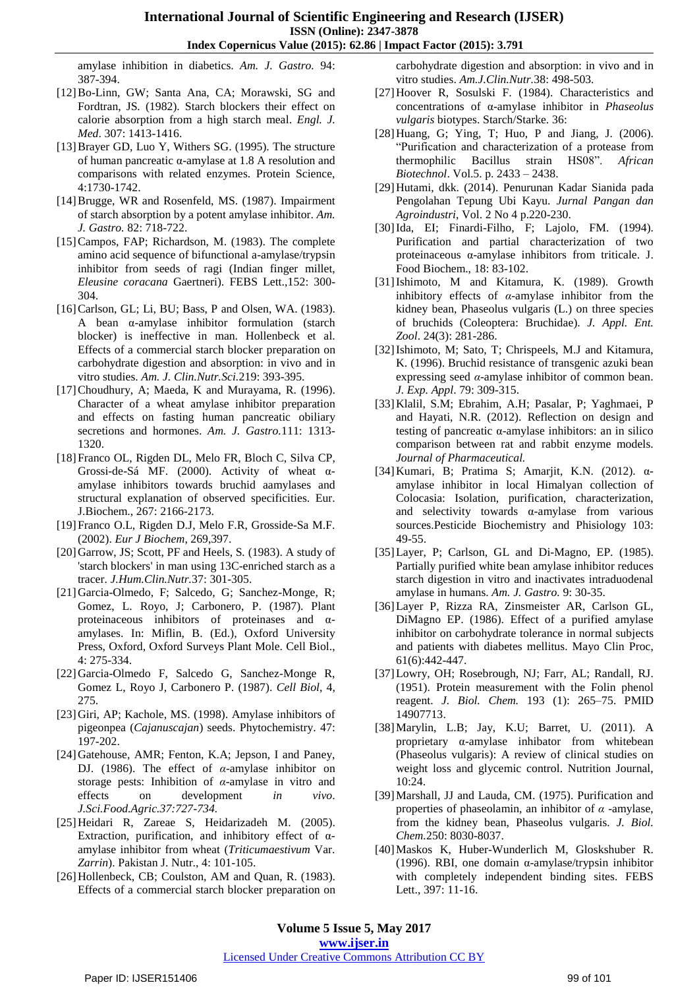amylase inhibition in diabetics. *Am. J. Gastro.* 94: 387-394.

- [12]Bo-Linn, GW; Santa Ana, CA; Morawski, SG and Fordtran, JS*.* (1982). Starch blockers their effect on calorie absorption from a high starch meal. *Engl. J. Med*. 307: 1413-1416.
- [13]Brayer GD, Luo Y, Withers SG. (1995). The structure of human pancreatic α-amylase at 1.8 A resolution and comparisons with related enzymes. Protein Science, 4:1730-1742.
- [14]Brugge, WR and Rosenfeld, MS. (1987). Impairment of starch absorption by a potent amylase inhibitor. *Am. J. Gastro.* 82: 718-722.
- [15]Campos, FAP; Richardson, M. (1983). The complete amino acid sequence of bifunctional a-amylase/trypsin inhibitor from seeds of ragi (Indian finger millet, *Eleusine coracana* Gaertneri). FEBS Lett.,152: 300- 304.
- [16] Carlson, GL; Li, BU; Bass, P and Olsen, WA. (1983). A bean α-amylase inhibitor formulation (starch blocker) is ineffective in man. Hollenbeck et al. Effects of a commercial starch blocker preparation on carbohydrate digestion and absorption: in vivo and in vitro studies. *Am. J. Clin.Nutr.Sci.*219: 393-395.
- [17] Choudhury, A; Maeda, K and Murayama, R. (1996). Character of a wheat amylase inhibitor preparation and effects on fasting human pancreatic obiliary secretions and hormones. *Am. J. Gastro.*111: 1313- 1320.
- [18]Franco OL, Rigden DL, Melo FR, Bloch C, Silva CP, Grossi-de-Sá MF. (2000). Activity of wheat αamylase inhibitors towards bruchid aamylases and structural explanation of observed specificities. Eur. J.Biochem., 267: 2166-2173.
- [19]Franco O.L, Rigden D.J, Melo F.R, Grosside-Sa M.F. (2002). *Eur J Biochem*, 269,397.
- [20]Garrow, JS; Scott, PF and Heels, S*.* (1983). A study of 'starch blockers' in man using 13C-enriched starch as a tracer. *J.Hum.Clin.Nutr.*37: 301-305.
- [21]Garcia-Olmedo, F; Salcedo, G; Sanchez-Monge, R; Gomez, L. Royo, J; Carbonero, P. (1987). Plant proteinaceous inhibitors of proteinases and αamylases. In: Miflin, B. (Ed.), Oxford University Press, Oxford, Oxford Surveys Plant Mole. Cell Biol., 4: 275-334.
- [22]Garcia-Olmedo F, Salcedo G, Sanchez-Monge R, Gomez L, Royo J, Carbonero P. (1987). *Cell Biol*, 4, 275.
- [23]Giri, AP; Kachole, MS. (1998). Amylase inhibitors of pigeonpea (*Cajanuscajan*) seeds. Phytochemistry. 47: 197-202.
- [24] Gatehouse, AMR; Fenton, K.A; Jepson, I and Paney, DJ. (1986). The effect of *α*-amylase inhibitor on storage pests: Inhibition of *α*-amylase in vitro and effects on development *in vivo*. *J.Sci.Food.Agric.37:727-734.*
- [25]Heidari R, Zareae S, Heidarizadeh M. (2005). Extraction, purification, and inhibitory effect of  $\alpha$ amylase inhibitor from wheat (*Triticumaestivum* Var. *Zarrin*). Pakistan J. Nutr., 4: 101-105.
- [26] Hollenbeck, CB; Coulston, AM and Quan, R. (1983). Effects of a commercial starch blocker preparation on

carbohydrate digestion and absorption: in vivo and in vitro studies. *Am.J.Clin.Nutr.*38: 498-503.

- [27]Hoover R, Sosulski F. (1984). Characteristics and concentrations of α-amylase inhibitor in *Phaseolus vulgaris* biotypes. Starch/Starke. 36:
- [28]Huang, G; Ying, T; Huo, P and Jiang, J. (2006). "Purification and characterization of a protease from thermophilic Bacillus strain HS08". *African Biotechnol*. Vol.5. p. 2433 – 2438.
- [29]Hutami, dkk. (2014). Penurunan Kadar Sianida pada Pengolahan Tepung Ubi Kayu. *Jurnal Pangan dan Agroindustri*, Vol. 2 No 4 p.220-230.
- [30]Ida, EI; Finardi-Filho, F; Lajolo, FM. (1994). Purification and partial characterization of two proteinaceous α-amylase inhibitors from triticale. J. Food Biochem., 18: 83-102.
- [31]Ishimoto, M and Kitamura, K. (1989). Growth inhibitory effects of *α*-amylase inhibitor from the kidney bean, Phaseolus vulgaris (L.) on three species of bruchids (Coleoptera: Bruchidae). *J. Appl. Ent. Zool*. 24(3): 281-286.
- [32]Ishimoto, M; Sato, T; Chrispeels, M.J and Kitamura, K. (1996). Bruchid resistance of transgenic azuki bean expressing seed *α*-amylase inhibitor of common bean. *J. Exp. Appl*. 79: 309-315.
- [33]Klalil, S.M; Ebrahim, A.H; Pasalar, P; Yaghmaei, P and Hayati, N.R. (2012). Reflection on design and testing of pancreatic α-amylase inhibitors: an in silico comparison between rat and rabbit enzyme models. *Journal of Pharmaceutical.*
- [34]Kumari, B; Pratima S; Amarjit, K.N. (2012). αamylase inhibitor in local Himalyan collection of Colocasia: Isolation, purification, characterization, and selectivity towards α-amylase from various sources.Pesticide Biochemistry and Phisiology 103: 49-55.
- [35]Layer, P; Carlson, GL and Di-Magno, EP*.* (1985). Partially purified white bean amylase inhibitor reduces starch digestion in vitro and inactivates intraduodenal amylase in humans. *Am. J. Gastro.* 9: 30-35.
- [36]Layer P, Rizza RA, Zinsmeister AR, Carlson GL, DiMagno EP. (1986). Effect of a purified amylase inhibitor on carbohydrate tolerance in normal subjects and patients with diabetes mellitus. Mayo Clin Proc, 61(6):442-447.
- [37]Lowry, OH; Rosebrough, NJ; Farr, AL; Randall, RJ. (1951). Protein [measurement](http://www.jbc.org/cgi/pmidlookup?view=long&pmid=14907713) with the Folin phenol [reagent.](http://www.jbc.org/cgi/pmidlookup?view=long&pmid=14907713) *J. Biol. Chem.* 193 (1): 265–75. [PMID](http://en.wikipedia.org/wiki/PubMed_Identifier) [14907713.](http://www.ncbi.nlm.nih.gov/pubmed/14907713)
- [38]Marylin, L.B; Jay, K.U; Barret, U. (2011). A proprietary α-amylase inhibator from whitebean (Phaseolus vulgaris): A review of clinical studies on weight loss and glycemic control. Nutrition Journal, 10:24.
- [39]Marshall, JJ and Lauda, CM. (1975). Purification and properties of phaseolamin, an inhibitor of *α* -amylase, from the kidney bean, Phaseolus vulgaris. *J. Biol. Chem.*250: 8030-8037.
- [40]Maskos K, Huber-Wunderlich M, Gloskshuber R. (1996). RBI, one domain α-amylase/trypsin inhibitor with completely independent binding sites. FEBS Lett., 397: 11-16.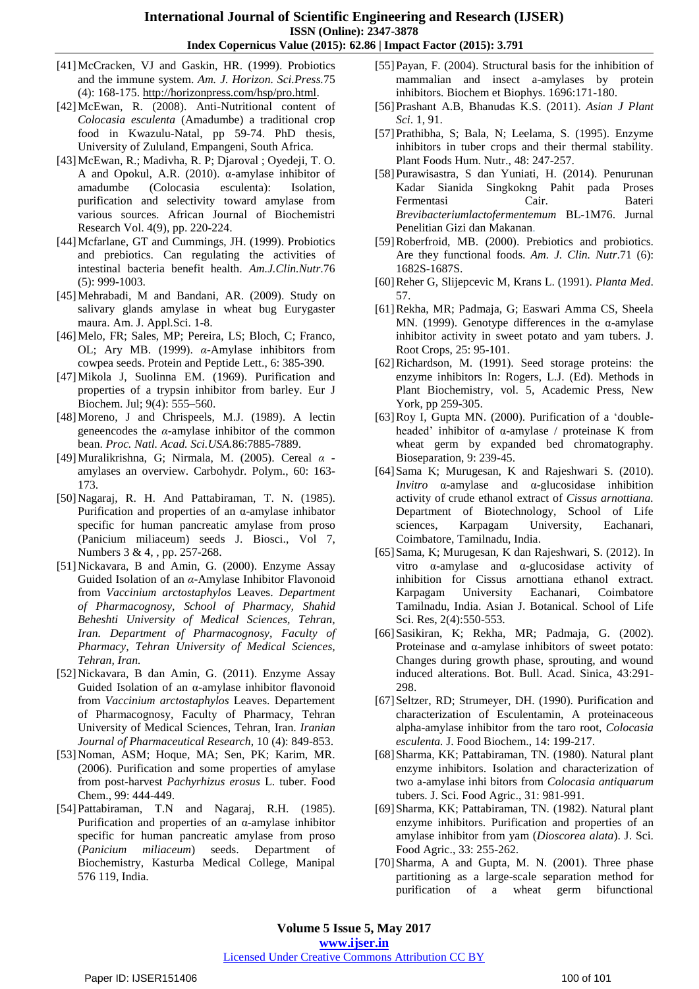- [41]McCracken, VJ and Gaskin, HR. (1999). Probiotics and the immune system. *Am. J. Horizon. Sci.Press.*75 (4): 168-175. [http://horizonpress.com/hsp/pro.html.](http://horizonpress.com/hsp/pro.html)
- [42]McEwan, R. (2008). Anti-Nutritional content of *Colocasia esculenta* (Amadumbe) a traditional crop food in Kwazulu-Natal, pp 59-74. PhD thesis, University of Zululand, Empangeni, South Africa.
- [43]McEwan, R.; Madivha, R. P; Djaroval ; Oyedeji, T. O. A and Opokul, A.R. (2010). α-amylase inhibitor of amadumbe (Colocasia esculenta): Isolation, purification and selectivity toward amylase from various sources. African Journal of Biochemistri Research Vol. 4(9), pp. 220-224.
- [44]Mcfarlane, GT and Cummings, JH. (1999). Probiotics and prebiotics. Can regulating the activities of intestinal bacteria benefit health. *Am.J.Clin.Nutr*.76 (5): 999-1003.
- [45]Mehrabadi, M and Bandani, AR. (2009). Study on salivary glands amylase in wheat bug Eurygaster maura. Am. J. Appl.Sci. 1-8.
- [46]Melo, FR; Sales, MP; Pereira, LS; Bloch, C; Franco, OL; Ary MB. (1999). *α*-Amylase inhibitors from cowpea seeds. Protein and Peptide Lett., 6: 385-390.
- [47]Mikola J, Suolinna EM. (1969). Purification and properties of a trypsin inhibitor from barley. Eur J Biochem. Jul; 9(4): 555–560.
- [48] Moreno, J and Chrispeels, M.J. (1989). A lectin geneencodes the  $\alpha$ -amylase inhibitor of the common bean. *Proc. Natl. Acad. Sci.USA.*86:7885-7889.
- [49]Muralikrishna, G; Nirmala, M. (2005). Cereal *α* amylases an overview. Carbohydr. Polym., 60: 163- 173.
- [50]Nagaraj, R. H. And Pattabiraman, T. N. (1985). Purification and properties of an α-amylase inhibator specific for human pancreatic amylase from proso (Panicium miliaceum) seeds J. Biosci., Vol 7, Numbers 3 & 4, , pp. 257-268.
- [51]Nickavara, B and Amin, G*.* (2000). Enzyme Assay Guided Isolation of an *α*-Amylase Inhibitor Flavonoid from *Vaccinium arctostaphylos* Leaves. *Department of Pharmacognosy, School of Pharmacy, Shahid Beheshti University of Medical Sciences, Tehran, Iran. Department of Pharmacognosy, Faculty of Pharmacy, Tehran University of Medical Sciences, Tehran, Iran.*
- [52]Nickavara, B dan Amin, G. (2011). Enzyme Assay Guided Isolation of an α-amylase inhibitor flavonoid from *Vaccinium arctostaphylos* Leaves. Departement of Pharmacognosy, Faculty of Pharmacy, Tehran University of Medical Sciences, Tehran, Iran. *Iranian Journal of Pharmaceutical Research*, 10 (4): 849-853.
- [53]Noman, ASM; Hoque, MA; Sen, PK; Karim, MR. (2006). Purification and some properties of amylase from post-harvest *Pachyrhizus erosus* L. tuber. Food Chem., 99: 444-449.
- [54]Pattabiraman, T.N and Nagaraj, R.H. (1985). Purification and properties of an  $\alpha$ -amylase inhibitor specific for human pancreatic amylase from proso (*Panicium miliaceum*) seeds. Department of Biochemistry, Kasturba Medical College, Manipal 576 119, India.
- [55]Payan, F. (2004). Structural basis for the inhibition of mammalian and insect a-amylases by protein inhibitors. Biochem et Biophys. 1696:171-180.
- [56]Prashant A.B, Bhanudas K.S. (2011). *Asian J Plant Sci*. 1, 91.
- [57]Prathibha, S; Bala, N; Leelama, S. (1995). Enzyme inhibitors in tuber crops and their thermal stability. Plant Foods Hum. Nutr., 48: 247-257.
- [58]Purawisastra, S dan Yuniati, H. (2014). Penurunan Kadar Sianida Singkokng Pahit pada Proses Fermentasi Cair. Bateri *Brevibacteriumlactofermentemum* BL-1M76. Jurnal Penelitian Gizi dan Makanan.
- [59]Roberfroid, MB. (2000). Prebiotics and probiotics. Are they functional foods. *Am. J. Clin. Nutr*.71 (6): 1682S-1687S.
- [60]Reher G, Slijepcevic M, Krans L. (1991). *Planta Med*. 57.
- [61]Rekha, MR; Padmaja, G; Easwari Amma CS, Sheela MN. (1999). Genotype differences in the α-amylase inhibitor activity in sweet potato and yam tubers. J. Root Crops, 25: 95-101.
- [62]Richardson, M. (1991). Seed storage proteins: the enzyme inhibitors In: Rogers, L.J. (Ed). Methods in Plant Biochemistry, vol. 5, Academic Press, New York, pp 259-305.
- [63]Roy I, Gupta MN. (2000). Purification of a "doubleheaded" inhibitor of α-amylase / proteinase K from wheat germ by expanded bed chromatography. Bioseparation, 9: 239-45.
- [64]Sama K; Murugesan, K and Rajeshwari S. (2010). *Invitro* α-amylase and α-glucosidase inhibition activity of crude ethanol extract of *Cissus arnottiana.* Department of Biotechnology, School of Life sciences, Karpagam University, Eachanari, Coimbatore, Tamilnadu, India.
- [65]Sama, K; Murugesan, K dan Rajeshwari, S. (2012). In vitro α-amylase and α-glucosidase activity of inhibition for Cissus arnottiana ethanol extract. Karpagam University Eachanari, Coimbatore Tamilnadu, India. Asian J. Botanical. School of Life Sci. Res, 2(4):550-553.
- [66]Sasikiran, K; Rekha, MR; Padmaja, G. (2002). Proteinase and α-amylase inhibitors of sweet potato: Changes during growth phase, sprouting, and wound induced alterations. Bot. Bull. Acad. Sinica, 43:291- 298.
- [67] Seltzer, RD; Strumeyer, DH. (1990). Purification and characterization of Esculentamin, A proteinaceous alpha-amylase inhibitor from the taro root, *Colocasia esculenta.* J. Food Biochem., 14: 199-217.
- [68]Sharma, KK; Pattabiraman, TN. (1980). Natural plant enzyme inhibitors. Isolation and characterization of two a-amylase inhi bitors from *Colocasia antiquarum* tubers. J. Sci. Food Agric., 31: 981-991.
- [69]Sharma, KK; Pattabiraman, TN. (1982). Natural plant enzyme inhibitors. Purification and properties of an amylase inhibitor from yam (*Dioscorea alata*). J. Sci. Food Agric., 33: 255-262.
- [70]Sharma, A and Gupta, M. N. (2001). Three phase partitioning as a large-scale separation method for purification of a wheat germ bifunctional